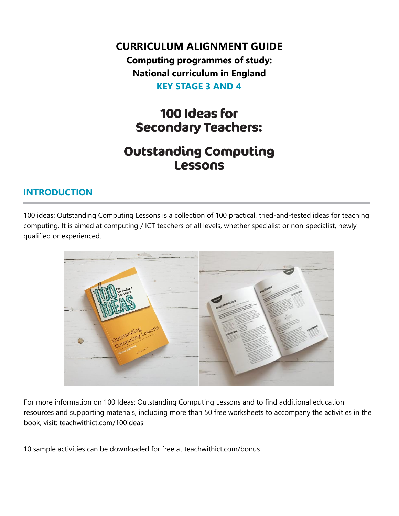**CURRICULUM ALIGNMENT GUIDE**

**Computing programmes of study: National curriculum in England KEY STAGE 3 AND 4**

# 100 Ideas for **Secondary Teachers:**

## **Outstanding Computing** Lessons

### **INTRODUCTION**

100 ideas: Outstanding Computing Lessons is a collection of 100 practical, tried-and-tested ideas for teaching computing. It is aimed at computing / ICT teachers of all levels, whether specialist or non-specialist, newly qualified or experienced.



For more information on 100 Ideas: Outstanding Computing Lessons and to find additional education resources and supporting materials, including more than 50 free worksheets to accompany the activities in the book, visit: teachwithict.com/100ideas

10 sample activities can be downloaded for free at teachwithict.com/bonus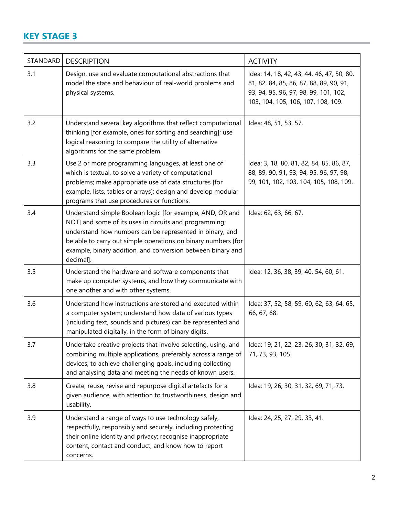### **KEY STAGE 3**

| STANDARD | <b>DESCRIPTION</b>                                                                                                                                                                                                                                                                                                           | <b>ACTIVITY</b>                                                                                                                                                     |
|----------|------------------------------------------------------------------------------------------------------------------------------------------------------------------------------------------------------------------------------------------------------------------------------------------------------------------------------|---------------------------------------------------------------------------------------------------------------------------------------------------------------------|
| 3.1      | Design, use and evaluate computational abstractions that<br>model the state and behaviour of real-world problems and<br>physical systems.                                                                                                                                                                                    | Idea: 14, 18, 42, 43, 44, 46, 47, 50, 80,<br>81, 82, 84, 85, 86, 87, 88, 89, 90, 91,<br>93, 94, 95, 96, 97, 98, 99, 101, 102,<br>103, 104, 105, 106, 107, 108, 109. |
| 3.2      | Understand several key algorithms that reflect computational<br>thinking [for example, ones for sorting and searching]; use<br>logical reasoning to compare the utility of alternative<br>algorithms for the same problem.                                                                                                   | Idea: 48, 51, 53, 57.                                                                                                                                               |
| 3.3      | Use 2 or more programming languages, at least one of<br>which is textual, to solve a variety of computational<br>problems; make appropriate use of data structures [for<br>example, lists, tables or arrays]; design and develop modular<br>programs that use procedures or functions.                                       | Idea: 3, 18, 80, 81, 82, 84, 85, 86, 87,<br>88, 89, 90, 91, 93, 94, 95, 96, 97, 98,<br>99, 101, 102, 103, 104, 105, 108, 109.                                       |
| 3.4      | Understand simple Boolean logic [for example, AND, OR and<br>NOT] and some of its uses in circuits and programming;<br>understand how numbers can be represented in binary, and<br>be able to carry out simple operations on binary numbers [for<br>example, binary addition, and conversion between binary and<br>decimal]. | Idea: 62, 63, 66, 67.                                                                                                                                               |
| 3.5      | Understand the hardware and software components that<br>make up computer systems, and how they communicate with<br>one another and with other systems.                                                                                                                                                                       | Idea: 12, 36, 38, 39, 40, 54, 60, 61.                                                                                                                               |
| 3.6      | Understand how instructions are stored and executed within<br>a computer system; understand how data of various types<br>(including text, sounds and pictures) can be represented and<br>manipulated digitally, in the form of binary digits.                                                                                | Idea: 37, 52, 58, 59, 60, 62, 63, 64, 65,<br>66, 67, 68.                                                                                                            |
| 3.7      | Undertake creative projects that involve selecting, using, and<br>combining multiple applications, preferably across a range of<br>devices, to achieve challenging goals, including collecting<br>and analysing data and meeting the needs of known users.                                                                   | Idea: 19, 21, 22, 23, 26, 30, 31, 32, 69,<br>71, 73, 93, 105.                                                                                                       |
| 3.8      | Create, reuse, revise and repurpose digital artefacts for a<br>given audience, with attention to trustworthiness, design and<br>usability.                                                                                                                                                                                   | Idea: 19, 26, 30, 31, 32, 69, 71, 73.                                                                                                                               |
| 3.9      | Understand a range of ways to use technology safely,<br>respectfully, responsibly and securely, including protecting<br>their online identity and privacy; recognise inappropriate<br>content, contact and conduct, and know how to report<br>concerns.                                                                      | Idea: 24, 25, 27, 29, 33, 41.                                                                                                                                       |